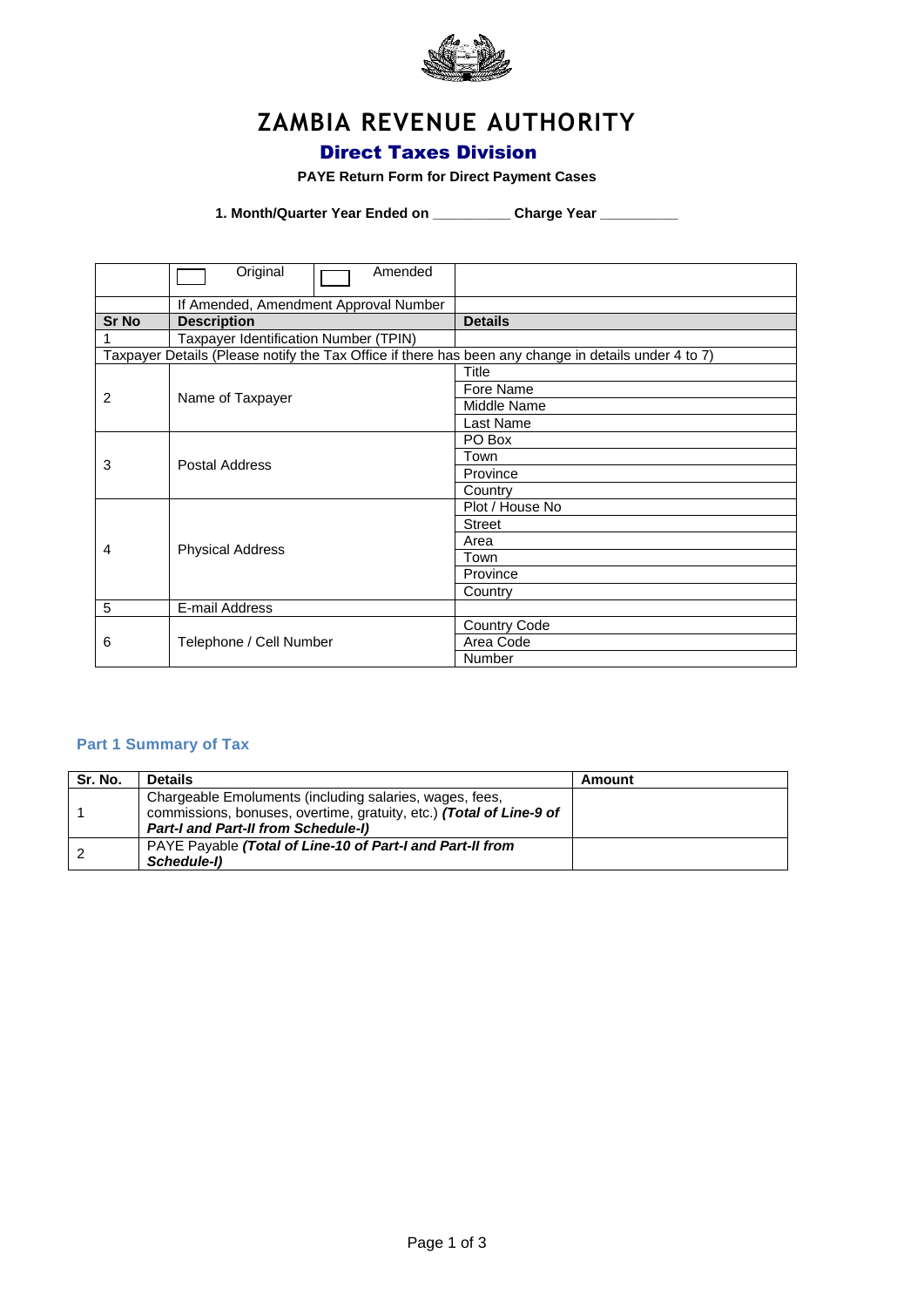

# **ZAMBIA REVENUE AUTHORITY**

## Direct Taxes Division

#### **PAYE Return Form for Direct Payment Cases**

**1. Month/Quarter Year Ended on \_\_\_\_\_\_\_\_\_\_ Charge Year \_\_\_\_\_\_\_\_\_\_**

|       | Original<br>Amended                                                                                  |                 |
|-------|------------------------------------------------------------------------------------------------------|-----------------|
|       | If Amended, Amendment Approval Number                                                                |                 |
| Sr No | <b>Description</b>                                                                                   | <b>Details</b>  |
|       | Taxpayer Identification Number (TPIN)                                                                |                 |
|       | Taxpayer Details (Please notify the Tax Office if there has been any change in details under 4 to 7) |                 |
|       |                                                                                                      | <b>Title</b>    |
| 2     | Name of Taxpayer                                                                                     | Fore Name       |
|       |                                                                                                      | Middle Name     |
|       |                                                                                                      | Last Name       |
|       |                                                                                                      | PO Box          |
|       | Postal Address                                                                                       | Town            |
| 3     |                                                                                                      | Province        |
|       |                                                                                                      | Country         |
|       |                                                                                                      | Plot / House No |
|       |                                                                                                      | <b>Street</b>   |
| 4     | <b>Physical Address</b>                                                                              | Area            |
|       |                                                                                                      | Town            |
|       |                                                                                                      | Province        |
|       |                                                                                                      | Country         |
| 5     | E-mail Address                                                                                       |                 |
| 6     |                                                                                                      | Country Code    |
|       | Telephone / Cell Number                                                                              | Area Code       |
|       |                                                                                                      | <b>Number</b>   |

## **Part 1 Summary of Tax**

| Sr. No. | <b>Details</b>                                                      | Amount |
|---------|---------------------------------------------------------------------|--------|
|         | Chargeable Emoluments (including salaries, wages, fees,             |        |
|         | commissions, bonuses, overtime, gratuity, etc.) (Total of Line-9 of |        |
|         | <b>Part-I and Part-II from Schedule-I)</b>                          |        |
|         | PAYE Payable (Total of Line-10 of Part-I and Part-II from           |        |
|         | Schedule-I)                                                         |        |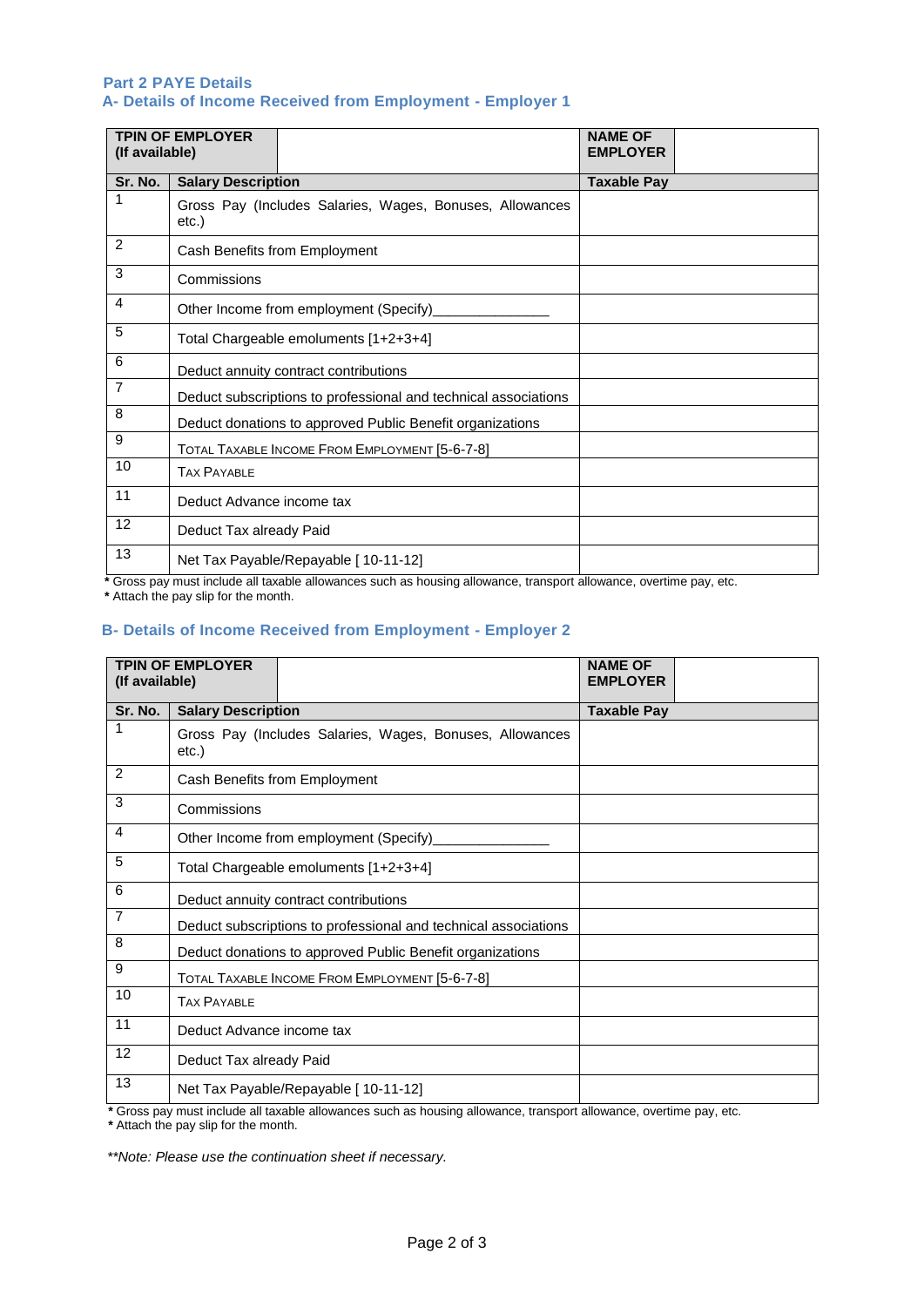#### **Part 2 PAYE Details A- Details of Income Received from Employment - Employer 1**

| (If available) | <b>TPIN OF EMPLOYER</b>                                           | <b>NAME OF</b><br><b>EMPLOYER</b> |
|----------------|-------------------------------------------------------------------|-----------------------------------|
| Sr. No.        | <b>Salary Description</b>                                         | <b>Taxable Pay</b>                |
| $\mathbf{1}$   | Gross Pay (Includes Salaries, Wages, Bonuses, Allowances<br>etc.) |                                   |
| 2              | Cash Benefits from Employment                                     |                                   |
| 3              | Commissions                                                       |                                   |
| 4              | Other Income from employment (Specify)                            |                                   |
| 5              | Total Chargeable emoluments [1+2+3+4]                             |                                   |
| 6              | Deduct annuity contract contributions                             |                                   |
| $\overline{7}$ | Deduct subscriptions to professional and technical associations   |                                   |
| 8              | Deduct donations to approved Public Benefit organizations         |                                   |
| 9              | TOTAL TAXABLE INCOME FROM EMPLOYMENT [5-6-7-8]                    |                                   |
| 10             | <b>TAX PAYABLE</b>                                                |                                   |
| 11             | Deduct Advance income tax                                         |                                   |
| 12             | Deduct Tax already Paid                                           |                                   |
| 13             | Net Tax Payable/Repayable [ 10-11-12]                             |                                   |

 **\*** Gross pay must include all taxable allowances such as housing allowance, transport allowance, overtime pay, etc.  **\*** Attach the pay slip for the month.

## **B- Details of Income Received from Employment - Employer 2**

| <b>TPIN OF EMPLOYER</b><br>(If available) |                                                                                                                | <b>NAME OF</b><br><b>EMPLOYER</b> |
|-------------------------------------------|----------------------------------------------------------------------------------------------------------------|-----------------------------------|
| Sr. No.                                   | <b>Salary Description</b>                                                                                      | <b>Taxable Pay</b>                |
|                                           | Gross Pay (Includes Salaries, Wages, Bonuses, Allowances<br>etc.)                                              |                                   |
| 2                                         | Cash Benefits from Employment                                                                                  |                                   |
| 3                                         | Commissions                                                                                                    |                                   |
| $\overline{4}$                            | Other Income from employment (Specify)                                                                         |                                   |
| 5                                         | Total Chargeable emoluments [1+2+3+4]                                                                          |                                   |
| 6                                         | Deduct annuity contract contributions                                                                          |                                   |
| $\overline{7}$                            | Deduct subscriptions to professional and technical associations                                                |                                   |
| 8                                         | Deduct donations to approved Public Benefit organizations                                                      |                                   |
| 9                                         | TOTAL TAXABLE INCOME FROM EMPLOYMENT [5-6-7-8]                                                                 |                                   |
| 10                                        | <b>TAX PAYABLE</b>                                                                                             |                                   |
| 11                                        | Deduct Advance income tax                                                                                      |                                   |
| 12                                        | Deduct Tax already Paid                                                                                        |                                   |
| 13                                        | Net Tax Payable/Repayable [ 10-11-12]                                                                          |                                   |
|                                           | *Cross pay must include all taxable allowances quab as bouging allowance transport allowance overtime pay, ato |                                   |

Gross pay must include all taxable allowances such as housing allowance, transport allowance, overtime pay, etc.

 **\*** Attach the pay slip for the month.

 *\*\*Note: Please use the continuation sheet if necessary.*